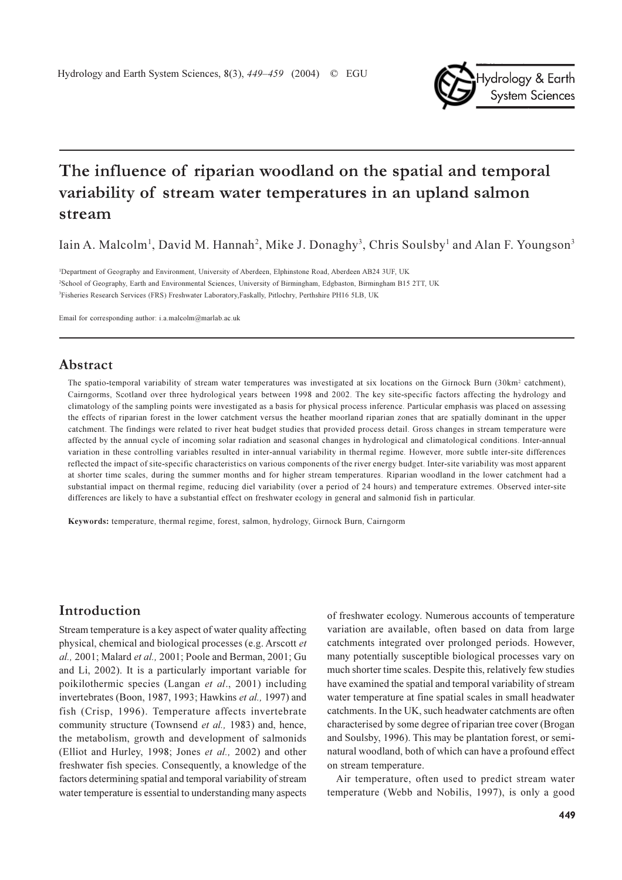

Iain A. Malcolm<sup>1</sup>, David M. Hannah<sup>2</sup>, Mike J. Donaghy<sup>3</sup>, Chris Soulsby<sup>1</sup> and Alan F. Youngson<sup>3</sup>

<sup>1</sup>Department of Geography and Environment, University of Aberdeen, Elphinstone Road, Aberdeen AB24 3UF, UK <sup>2</sup>School of Geography, Earth and Environmental Sciences, University of Birmingham, Edgbaston, Birmingham B15 2TT, UK <sup>3</sup>Fisheries Research Services (FRS) Freshwater Laboratory, Faskally, Pitlochry, Perthshire PH16 5LB, UK

Email for corresponding author: i.a.malcolm@marlab.ac.uk

## Abstract

The spatio-temporal variability of stream water temperatures was investigated at six locations on the Girnock Burn (30km<sup>2</sup> catchment), Cairngorms, Scotland over three hydrological years between 1998 and 2002. The key site-specific factors affecting the hydrology and climatology of the sampling points were investigated as a basis for physical process inference. Particular emphasis was placed on assessing the effects of riparian forest in the lower catchment versus the heather moorland riparian zones that are spatially dominant in the upper catchment. The findings were related to river heat budget studies that provided process detail. Gross changes in stream temperature were affected by the annual cycle of incoming solar radiation and seasonal changes in hydrological and climatological conditions. Inter-annual variation in these controlling variables resulted in inter-annual variability in thermal regime. However, more subtle inter-site differences reflected the impact of site-specific characteristics on various components of the river energy budget. Inter-site variability was most apparent at shorter time scales, during the summer months and for higher stream temperatures. Riparian woodland in the lower catchment had a substantial impact on thermal regime, reducing diel variability (over a period of 24 hours) and temperature extremes. Observed inter-site differences are likely to have a substantial effect on freshwater ecology in general and salmonid fish in particular.

Keywords: temperature, thermal regime, forest, salmon, hydrology, Girnock Burn, Cairngorm

# Introduction

Stream temperature is a key aspect of water quality affecting physical, chemical and biological processes (e.g. Arscott et al., 2001; Malard et al., 2001; Poole and Berman, 2001; Gu and Li, 2002). It is a particularly important variable for poikilothermic species (Langan et al., 2001) including invertebrates (Boon, 1987, 1993; Hawkins et al., 1997) and fish (Crisp, 1996). Temperature affects invertebrate community structure (Townsend et al., 1983) and, hence, the metabolism, growth and development of salmonids (Elliot and Hurley, 1998; Jones et al., 2002) and other freshwater fish species. Consequently, a knowledge of the factors determining spatial and temporal variability of stream water temperature is essential to understanding many aspects

of freshwater ecology. Numerous accounts of temperature variation are available, often based on data from large catchments integrated over prolonged periods. However, many potentially susceptible biological processes vary on much shorter time scales. Despite this, relatively few studies have examined the spatial and temporal variability of stream water temperature at fine spatial scales in small headwater catchments. In the UK, such headwater catchments are often characterised by some degree of riparian tree cover (Brogan and Soulsby, 1996). This may be plantation forest, or seminatural woodland, both of which can have a profound effect on stream temperature.

Air temperature, often used to predict stream water temperature (Webb and Nobilis, 1997), is only a good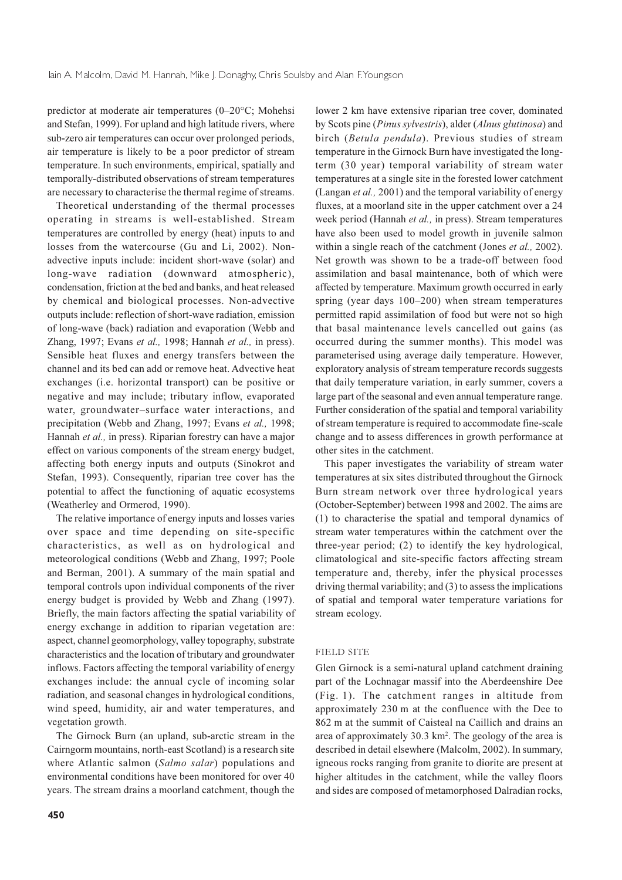predictor at moderate air temperatures  $(0-20\degree C;$  Mohehsi and Stefan, 1999). For upland and high latitude rivers, where sub-zero air temperatures can occur over prolonged periods, air temperature is likely to be a poor predictor of stream temperature. In such environments, empirical, spatially and temporally-distributed observations of stream temperatures are necessary to characterise the thermal regime of streams.

Theoretical understanding of the thermal processes operating in streams is well-established. Stream temperatures are controlled by energy (heat) inputs to and losses from the watercourse (Gu and Li, 2002). Nonadvective inputs include: incident short-wave (solar) and long-wave radiation (downward atmospheric), condensation, friction at the bed and banks, and heat released by chemical and biological processes. Non-advective outputs include: reflection of short-wave radiation, emission of long-wave (back) radiation and evaporation (Webb and Zhang, 1997; Evans et al., 1998; Hannah et al., in press). Sensible heat fluxes and energy transfers between the channel and its bed can add or remove heat. Advective heat exchanges (i.e. horizontal transport) can be positive or negative and may include; tributary inflow, evaporated water, groundwater-surface water interactions, and precipitation (Webb and Zhang, 1997; Evans et al., 1998; Hannah et al., in press). Riparian forestry can have a major effect on various components of the stream energy budget, affecting both energy inputs and outputs (Sinokrot and Stefan, 1993). Consequently, riparian tree cover has the potential to affect the functioning of aquatic ecosystems (Weatherley and Ormerod, 1990).

The relative importance of energy inputs and losses varies over space and time depending on site-specific characteristics, as well as on hydrological and meteorological conditions (Webb and Zhang, 1997; Poole and Berman, 2001). A summary of the main spatial and temporal controls upon individual components of the river energy budget is provided by Webb and Zhang (1997). Briefly, the main factors affecting the spatial variability of energy exchange in addition to riparian vegetation are: aspect, channel geomorphology, valley topography, substrate characteristics and the location of tributary and groundwater inflows. Factors affecting the temporal variability of energy exchanges include: the annual cycle of incoming solar radiation, and seasonal changes in hydrological conditions. wind speed, humidity, air and water temperatures, and vegetation growth.

The Girnock Burn (an upland, sub-arctic stream in the Cairngorm mountains, north-east Scotland) is a research site where Atlantic salmon (Salmo salar) populations and environmental conditions have been monitored for over 40 years. The stream drains a moorland catchment, though the

lower 2 km have extensive riparian tree cover, dominated by Scots pine (Pinus sylvestris), alder (Alnus glutinosa) and birch (Betula pendula). Previous studies of stream temperature in the Girnock Burn have investigated the longterm (30 year) temporal variability of stream water temperatures at a single site in the forested lower catchment (Langan et al., 2001) and the temporal variability of energy fluxes, at a moorland site in the upper catchment over a 24 week period (Hannah et al., in press). Stream temperatures have also been used to model growth in juvenile salmon within a single reach of the catchment (Jones et al., 2002). Net growth was shown to be a trade-off between food assimilation and basal maintenance, both of which were affected by temperature. Maximum growth occurred in early spring (year days 100-200) when stream temperatures permitted rapid assimilation of food but were not so high that basal maintenance levels cancelled out gains (as occurred during the summer months). This model was parameterised using average daily temperature. However, exploratory analysis of stream temperature records suggests that daily temperature variation, in early summer, covers a large part of the seasonal and even annual temperature range. Further consideration of the spatial and temporal variability of stream temperature is required to accommodate fine-scale change and to assess differences in growth performance at other sites in the catchment.

This paper investigates the variability of stream water temperatures at six sites distributed throughout the Girnock Burn stream network over three hydrological years (October-September) between 1998 and 2002. The aims are (1) to characterise the spatial and temporal dynamics of stream water temperatures within the catchment over the three-year period; (2) to identify the key hydrological, climatological and site-specific factors affecting stream temperature and, thereby, infer the physical processes driving thermal variability; and (3) to assess the implications of spatial and temporal water temperature variations for stream ecology.

#### **FIELD SITE**

Glen Girnock is a semi-natural upland catchment draining part of the Lochnagar massif into the Aberdeenshire Dee (Fig. 1). The catchment ranges in altitude from approximately 230 m at the confluence with the Dee to 862 m at the summit of Caisteal na Caillich and drains an area of approximately 30.3 km<sup>2</sup>. The geology of the area is described in detail elsewhere (Malcolm, 2002). In summary, igneous rocks ranging from granite to diorite are present at higher altitudes in the catchment, while the valley floors and sides are composed of metamorphosed Dalradian rocks,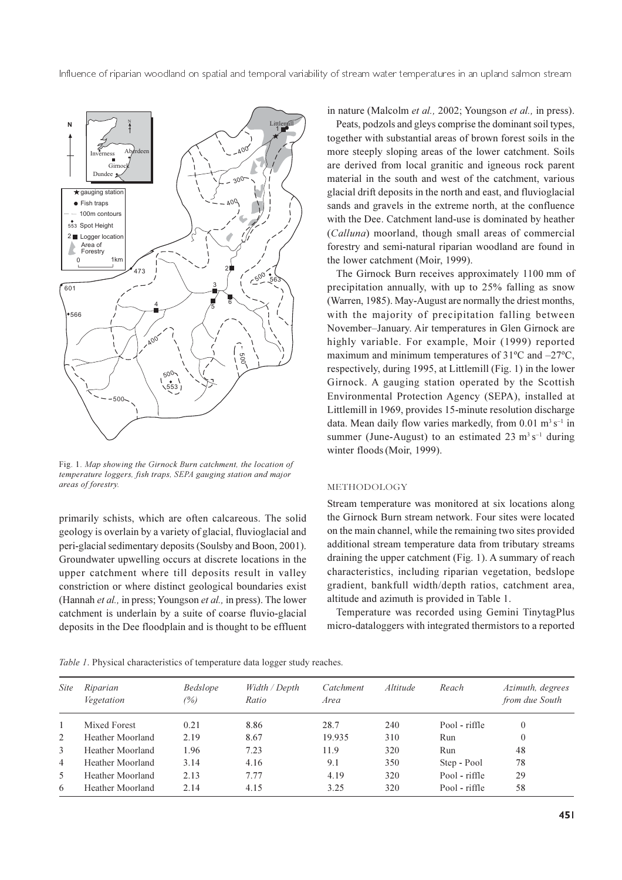

Fig. 1. Map showing the Girnock Burn catchment, the location of temperature loggers, fish traps, SEPA gauging station and major areas of forestry.

primarily schists, which are often calcareous. The solid geology is overlain by a variety of glacial, fluvioglacial and peri-glacial sedimentary deposits (Soulsby and Boon, 2001). Groundwater upwelling occurs at discrete locations in the upper catchment where till deposits result in valley constriction or where distinct geological boundaries exist (Hannah et al., in press; Youngson et al., in press). The lower catchment is underlain by a suite of coarse fluvio-glacial deposits in the Dee floodplain and is thought to be effluent in nature (Malcolm *et al.*, 2002; Youngson *et al.*, in press).

Peats, podzols and gleys comprise the dominant soil types, together with substantial areas of brown forest soils in the more steeply sloping areas of the lower catchment. Soils are derived from local granitic and igneous rock parent material in the south and west of the catchment, various glacial drift deposits in the north and east, and fluvioglacial sands and gravels in the extreme north, at the confluence with the Dee. Catchment land-use is dominated by heather (Calluna) moorland, though small areas of commercial forestry and semi-natural riparian woodland are found in the lower catchment (Moir, 1999).

The Girnock Burn receives approximately 1100 mm of precipitation annually, with up to 25% falling as snow (Warren, 1985). May-August are normally the driest months, with the majority of precipitation falling between November-January. Air temperatures in Glen Girnock are highly variable. For example, Moir (1999) reported maximum and minimum temperatures of  $31^{\circ}$ C and  $-27^{\circ}$ C, respectively, during 1995, at Littlemill (Fig. 1) in the lower Girnock. A gauging station operated by the Scottish Environmental Protection Agency (SEPA), installed at Littlemill in 1969, provides 15-minute resolution discharge data. Mean daily flow varies markedly, from 0.01 m<sup>3</sup> s<sup>-1</sup> in summer (June-August) to an estimated 23  $\text{m}^3\text{ s}^{-1}$  during winter floods (Moir, 1999).

#### METHODOLOGY

Stream temperature was monitored at six locations along the Girnock Burn stream network. Four sites were located on the main channel, while the remaining two sites provided additional stream temperature data from tributary streams draining the upper catchment (Fig. 1). A summary of reach characteristics, including riparian vegetation, bedslope gradient, bankfull width/depth ratios, catchment area, altitude and azimuth is provided in Table 1.

Temperature was recorded using Gemini TinytagPlus micro-dataloggers with integrated thermistors to a reported

|  | Table 1. Physical characteristics of temperature data logger study reaches. |  |
|--|-----------------------------------------------------------------------------|--|
|  |                                                                             |  |

| <i>Site</i>    | Riparian<br><i>Vegetation</i> | Bedslope<br>(%) | Width / Depth<br>Ratio | Catchment<br>Area | <i>Altitude</i> | Reach         | <i>Azimuth, degrees</i><br>from due South |
|----------------|-------------------------------|-----------------|------------------------|-------------------|-----------------|---------------|-------------------------------------------|
|                | Mixed Forest                  | 0.21            | 8.86                   | 28.7              | 240             | Pool - riffle | 0                                         |
| 2              | Heather Moorland              | 2.19            | 8.67                   | 19.935            | 310             | Run           | 0                                         |
| 3              | Heather Moorland              | l.96            | 7.23                   | 11.9              | 320             | Run           | 48                                        |
| $\overline{4}$ | Heather Moorland              | 3.14            | 4.16                   | 9.1               | 350             | Step - Pool   | 78                                        |
| 5              | Heather Moorland              | 2.13            | 7.77                   | 4.19              | 320             | Pool - riffle | 29                                        |
| 6              | Heather Moorland              | 2.14            | 4.15                   | 3.25              | 320             | Pool - riffle | 58                                        |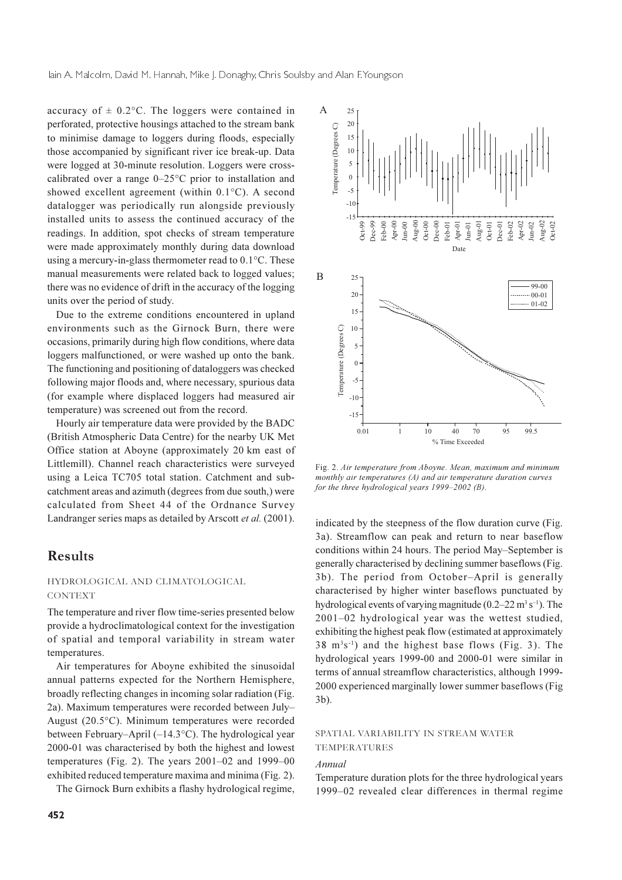accuracy of  $\pm$  0.2°C. The loggers were contained in perforated, protective housings attached to the stream bank to minimise damage to loggers during floods, especially those accompanied by significant river ice break-up. Data were logged at 30-minute resolution. Loggers were crosscalibrated over a range  $0-25^{\circ}$ C prior to installation and showed excellent agreement (within  $0.1^{\circ}$ C). A second datalogger was periodically run alongside previously installed units to assess the continued accuracy of the readings. In addition, spot checks of stream temperature were made approximately monthly during data download using a mercury-in-glass thermometer read to  $0.1^{\circ}$ C. These manual measurements were related back to logged values; there was no evidence of drift in the accuracy of the logging units over the period of study.

Due to the extreme conditions encountered in upland environments such as the Girnock Burn, there were occasions, primarily during high flow conditions, where data loggers malfunctioned, or were washed up onto the bank. The functioning and positioning of dataloggers was checked following major floods and, where necessary, spurious data (for example where displaced loggers had measured air temperature) was screened out from the record.

Hourly air temperature data were provided by the BADC (British Atmospheric Data Centre) for the nearby UK Met Office station at Aboyne (approximately 20 km east of Littlemill). Channel reach characteristics were surveyed using a Leica TC705 total station. Catchment and subcatchment areas and azimuth (degrees from due south,) were calculated from Sheet 44 of the Ordnance Survey Landranger series maps as detailed by Arscott et al. (2001).

# **Results**

#### HYDROLOGICAL AND CLIMATOLOGICAL **CONTEXT**

The temperature and river flow time-series presented below provide a hydroclimatological context for the investigation of spatial and temporal variability in stream water temperatures.

Air temperatures for Aboyne exhibited the sinusoidal annual patterns expected for the Northern Hemisphere, broadly reflecting changes in incoming solar radiation (Fig. 2a). Maximum temperatures were recorded between July-August  $(20.5^{\circ}C)$ . Minimum temperatures were recorded between February–April ( $-14.3$ °C). The hydrological year 2000-01 was characterised by both the highest and lowest temperatures (Fig. 2). The years  $2001-02$  and  $1999-00$ exhibited reduced temperature maxima and minima (Fig. 2).

The Girnock Burn exhibits a flashy hydrological regime,



Fig. 2. Air temperature from Aboyne. Mean, maximum and minimum monthly air temperatures  $(A)$  and air temperature duration curves for the three hydrological years  $1999-2002$  (B)

indicated by the steepness of the flow duration curve (Fig. 3a). Streamflow can peak and return to near baseflow conditions within 24 hours. The period May–September is generally characterised by declining summer baseflows (Fig. 3b). The period from October-April is generally characterised by higher winter baseflows punctuated by hydrological events of varying magnitude  $(0.2-22 \text{ m}^3 \text{ s}^{-1})$ . The 2001-02 hydrological year was the wettest studied, exhibiting the highest peak flow (estimated at approximately 38 m<sup>3</sup>s<sup>-1</sup>) and the highest base flows (Fig. 3). The hydrological years 1999-00 and 2000-01 were similar in terms of annual streamflow characteristics, although 1999-2000 experienced marginally lower summer baseflows (Fig.  $3<sub>b</sub>$ ).

### SPATIAL VARIABILITY IN STREAM WATER **TEMPERATURES**

## $\Delta$ *nnual*

Temperature duration plots for the three hydrological years 1999–02 revealed clear differences in thermal regime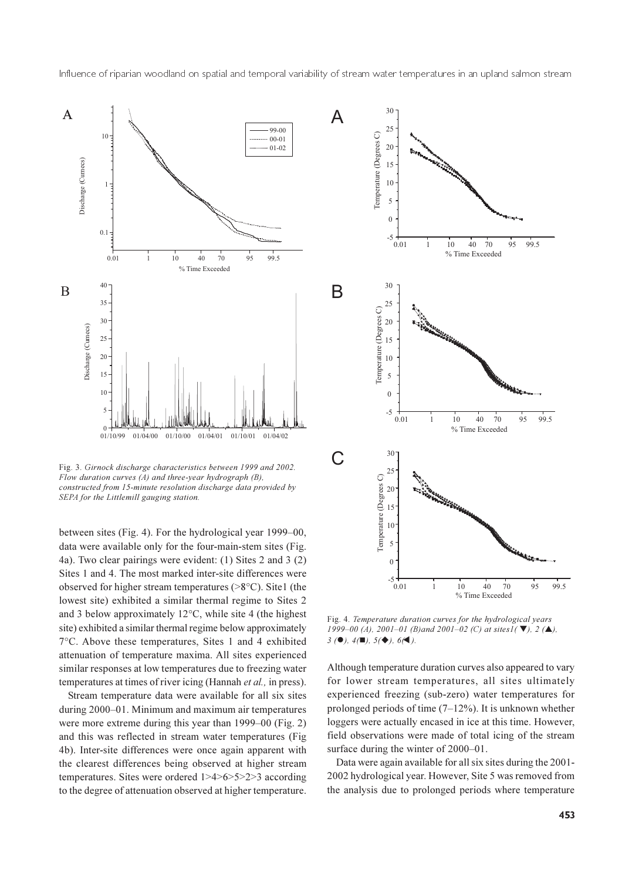

Fig. 3. Girnock discharge characteristics between 1999 and 2002. Flow duration curves (A) and three-year hydrograph (B), constructed from 15-minute resolution discharge data provided by SEPA for the Littlemill gauging station.

between sites (Fig. 4). For the hydrological year 1999–00, data were available only for the four-main-stem sites (Fig. 4a). Two clear pairings were evident: (1) Sites 2 and 3 (2) Sites 1 and 4. The most marked inter-site differences were observed for higher stream temperatures ( $>8^{\circ}$ C). Site1 (the lowest site) exhibited a similar thermal regime to Sites 2 and 3 below approximately 12 $\degree$ C, while site 4 (the highest site) exhibited a similar thermal regime below approximately 7°C. Above these temperatures, Sites 1 and 4 exhibited attenuation of temperature maxima. All sites experienced similar responses at low temperatures due to freezing water temperatures at times of river icing (Hannah et al., in press).

Stream temperature data were available for all six sites during 2000–01. Minimum and maximum air temperatures were more extreme during this year than 1999–00 (Fig. 2) and this was reflected in stream water temperatures (Fig. 4b). Inter-site differences were once again apparent with the clearest differences being observed at higher stream temperatures. Sites were ordered  $1>4>6>5>2>3$  according to the degree of attenuation observed at higher temperature.



Fig. 4. Temperature duration curves for the hydrological years 1999-00 (A), 2001-01 (B)and 2001-02 (C) at sites  $I(\nabla)$ , 2 ( $\triangle$ ),  $3(①), 4(②), 5(④), 6(④).$ 

Although temperature duration curves also appeared to vary for lower stream temperatures, all sites ultimately experienced freezing (sub-zero) water temperatures for prolonged periods of time  $(7-12\%)$ . It is unknown whether loggers were actually encased in ice at this time. However, field observations were made of total icing of the stream surface during the winter of 2000–01.

Data were again available for all six sites during the 2001-2002 hydrological year. However, Site 5 was removed from the analysis due to prolonged periods where temperature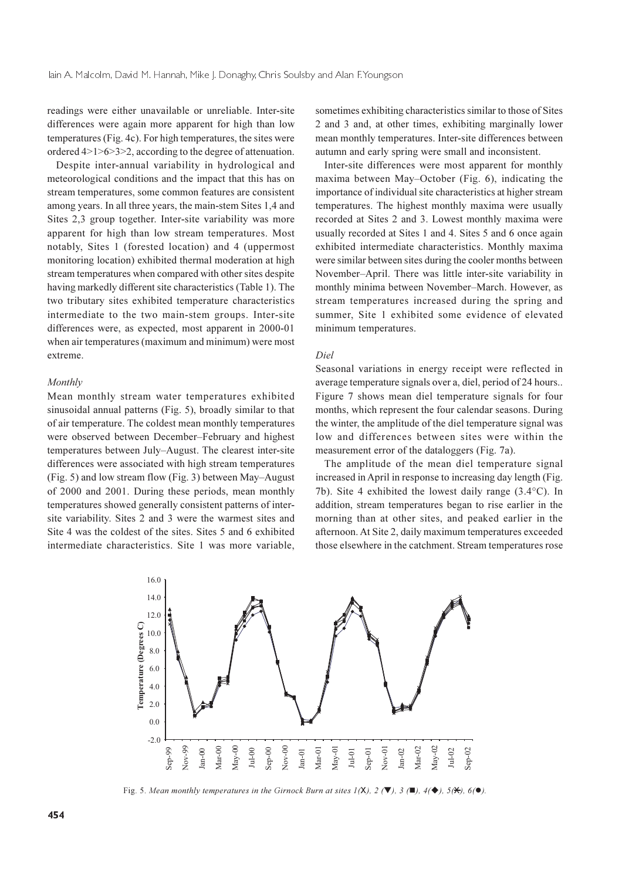readings were either unavailable or unreliable. Inter-site differences were again more apparent for high than low temperatures (Fig. 4c). For high temperatures, the sites were ordered  $4>1>6>3>2$ , according to the degree of attenuation.

Despite inter-annual variability in hydrological and meteorological conditions and the impact that this has on stream temperatures, some common features are consistent among years. In all three years, the main-stem Sites 1,4 and Sites 2,3 group together. Inter-site variability was more apparent for high than low stream temperatures. Most notably, Sites 1 (forested location) and 4 (uppermost monitoring location) exhibited thermal moderation at high stream temperatures when compared with other sites despite having markedly different site characteristics (Table 1). The two tributary sites exhibited temperature characteristics intermediate to the two main-stem groups. Inter-site differences were, as expected, most apparent in 2000-01 when air temperatures (maximum and minimum) were most extreme.

#### Monthly

Mean monthly stream water temperatures exhibited sinusoidal annual patterns (Fig. 5), broadly similar to that of air temperature. The coldest mean monthly temperatures were observed between December-February and highest temperatures between July-August. The clearest inter-site differences were associated with high stream temperatures (Fig. 5) and low stream flow (Fig. 3) between May–August of 2000 and 2001. During these periods, mean monthly temperatures showed generally consistent patterns of intersite variability. Sites 2 and 3 were the warmest sites and Site 4 was the coldest of the sites. Sites 5 and 6 exhibited intermediate characteristics. Site 1 was more variable,

sometimes exhibiting characteristics similar to those of Sites 2 and 3 and, at other times, exhibiting marginally lower mean monthly temperatures. Inter-site differences between autumn and early spring were small and inconsistent.

Inter-site differences were most apparent for monthly maxima between May–October (Fig. 6), indicating the importance of individual site characteristics at higher stream temperatures. The highest monthly maxima were usually recorded at Sites 2 and 3. Lowest monthly maxima were usually recorded at Sites 1 and 4. Sites 5 and 6 once again exhibited intermediate characteristics. Monthly maxima were similar between sites during the cooler months between November-April. There was little inter-site variability in monthly minima between November-March. However, as stream temperatures increased during the spring and summer, Site 1 exhibited some evidence of elevated minimum temperatures.

#### Diel

Seasonal variations in energy receipt were reflected in average temperature signals over a, diel, period of 24 hours.. Figure 7 shows mean diel temperature signals for four months, which represent the four calendar seasons. During the winter, the amplitude of the diel temperature signal was low and differences between sites were within the measurement error of the dataloggers (Fig. 7a).

The amplitude of the mean diel temperature signal increased in April in response to increasing day length (Fig. 7b). Site 4 exhibited the lowest daily range  $(3.4^{\circ}C)$ . In addition, stream temperatures began to rise earlier in the morning than at other sites, and peaked earlier in the afternoon. At Site 2, daily maximum temperatures exceeded those elsewhere in the catchment. Stream temperatures rose



Fig. 5. Mean monthly temperatures in the Girnock Burn at sites  $I(X)$ ,  $2(\mathbb{V})$ ,  $3(\mathbb{I})$ ,  $4(\mathbb{A})$ ,  $5(\mathbb{X})$ ,  $6(\mathbb{O})$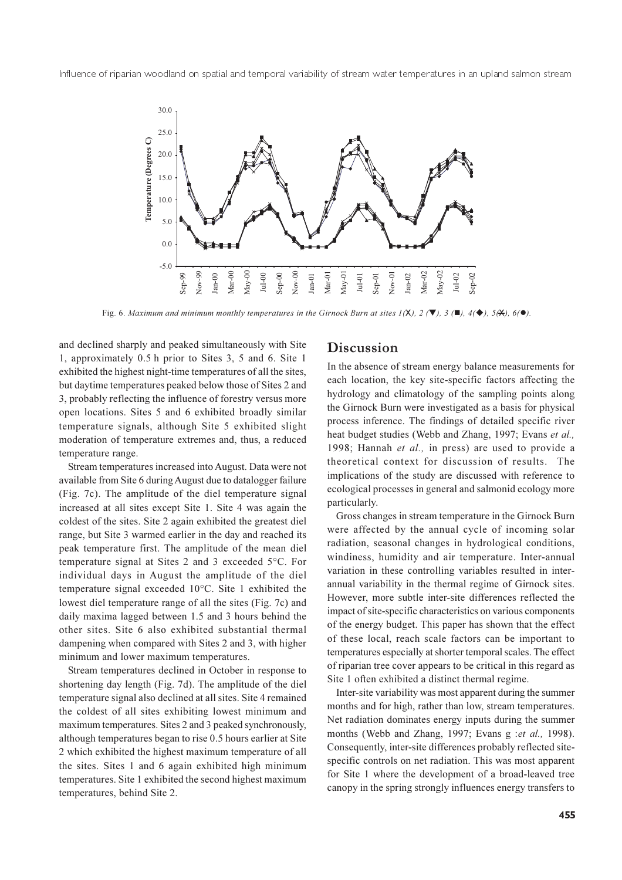

Fig. 6. Maximum and minimum monthly temperatures in the Girnock Burn at sites  $I(X)$ ,  $2(\mathbb{V})$ ,  $3(\mathbb{I})$ ,  $4(\mathbb{V})$ ,  $5(\mathbb{X})$ ,  $6(\mathbb{O})$ .

and declined sharply and peaked simultaneously with Site 1, approximately 0.5 h prior to Sites 3, 5 and 6. Site 1 exhibited the highest night-time temperatures of all the sites, but daytime temperatures peaked below those of Sites 2 and 3, probably reflecting the influence of forestry versus more open locations. Sites 5 and 6 exhibited broadly similar temperature signals, although Site 5 exhibited slight moderation of temperature extremes and, thus, a reduced temperature range.

Stream temperatures increased into August. Data were not available from Site 6 during August due to datalogger failure (Fig. 7c). The amplitude of the diel temperature signal increased at all sites except Site 1. Site 4 was again the coldest of the sites. Site 2 again exhibited the greatest diel range, but Site 3 warmed earlier in the day and reached its peak temperature first. The amplitude of the mean diel temperature signal at Sites 2 and 3 exceeded 5°C. For individual days in August the amplitude of the diel temperature signal exceeded 10°C. Site 1 exhibited the lowest diel temperature range of all the sites (Fig. 7c) and daily maxima lagged between 1.5 and 3 hours behind the other sites. Site 6 also exhibited substantial thermal dampening when compared with Sites 2 and 3, with higher minimum and lower maximum temperatures.

Stream temperatures declined in October in response to shortening day length (Fig. 7d). The amplitude of the diel temperature signal also declined at all sites. Site 4 remained the coldest of all sites exhibiting lowest minimum and maximum temperatures. Sites 2 and 3 peaked synchronously, although temperatures began to rise 0.5 hours earlier at Site 2 which exhibited the highest maximum temperature of all the sites. Sites 1 and 6 again exhibited high minimum temperatures. Site 1 exhibited the second highest maximum temperatures, behind Site 2.

## Discussion

In the absence of stream energy balance measurements for each location, the key site-specific factors affecting the hydrology and climatology of the sampling points along the Girnock Burn were investigated as a basis for physical process inference. The findings of detailed specific river heat budget studies (Webb and Zhang, 1997; Evans et al., 1998; Hannah et al., in press) are used to provide a theoretical context for discussion of results. The implications of the study are discussed with reference to ecological processes in general and salmonid ecology more particularly.

Gross changes in stream temperature in the Girnock Burn were affected by the annual cycle of incoming solar radiation, seasonal changes in hydrological conditions, windiness, humidity and air temperature. Inter-annual variation in these controlling variables resulted in interannual variability in the thermal regime of Girnock sites. However, more subtle inter-site differences reflected the impact of site-specific characteristics on various components of the energy budget. This paper has shown that the effect of these local, reach scale factors can be important to temperatures especially at shorter temporal scales. The effect of riparian tree cover appears to be critical in this regard as Site 1 often exhibited a distinct thermal regime.

Inter-site variability was most apparent during the summer months and for high, rather than low, stream temperatures. Net radiation dominates energy inputs during the summer months (Webb and Zhang, 1997; Evans g:et al., 1998). Consequently, inter-site differences probably reflected sitespecific controls on net radiation. This was most apparent for Site 1 where the development of a broad-leaved tree canopy in the spring strongly influences energy transfers to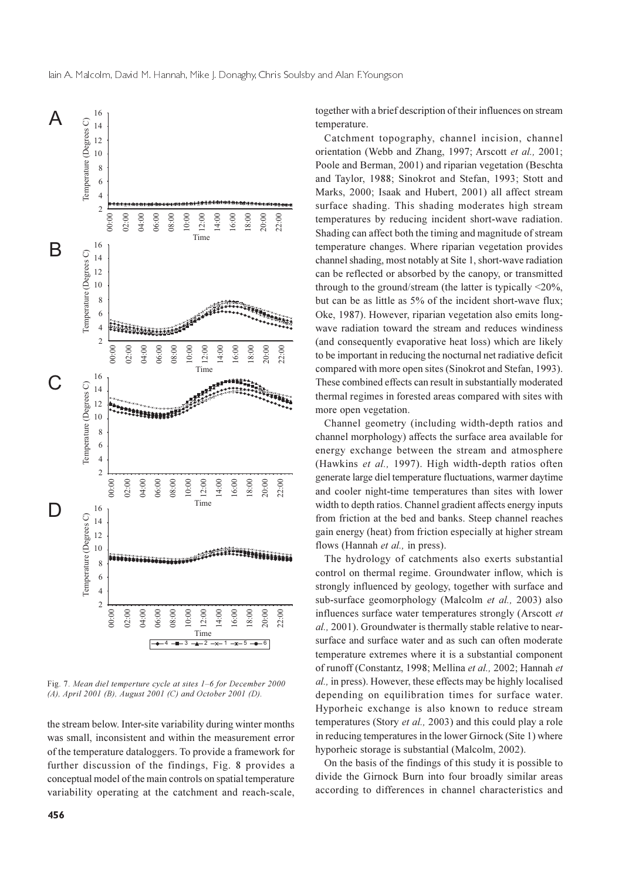

Fig. 7. Mean diel temperture cycle at sites 1–6 for December 2000 (A), April 2001 (B), August 2001 (C) and October 2001 (D).

the stream below. Inter-site variability during winter months was small, inconsistent and within the measurement error of the temperature dataloggers. To provide a framework for further discussion of the findings, Fig. 8 provides a conceptual model of the main controls on spatial temperature variability operating at the catchment and reach-scale,

456

together with a brief description of their influences on stream temperature.

Catchment topography, channel incision, channel orientation (Webb and Zhang, 1997; Arscott et al., 2001; Poole and Berman, 2001) and riparian vegetation (Beschta and Taylor, 1988: Sinokrot and Stefan, 1993: Stott and Marks, 2000; Isaak and Hubert, 2001) all affect stream surface shading. This shading moderates high stream temperatures by reducing incident short-wave radiation. Shading can affect both the timing and magnitude of stream temperature changes. Where riparian vegetation provides channel shading, most notably at Site 1, short-wave radiation can be reflected or absorbed by the canopy, or transmitted through to the ground/stream (the latter is typically  $\leq$ 20%, but can be as little as 5% of the incident short-wave flux; Oke, 1987). However, riparian vegetation also emits longwave radiation toward the stream and reduces windiness (and consequently evaporative heat loss) which are likely to be important in reducing the nocturnal net radiative deficit compared with more open sites (Sinokrot and Stefan, 1993). These combined effects can result in substantially moderated thermal regimes in forested areas compared with sites with more open vegetation.

Channel geometry (including width-depth ratios and channel morphology) affects the surface area available for energy exchange between the stream and atmosphere (Hawkins et al., 1997). High width-depth ratios often generate large diel temperature fluctuations, warmer daytime and cooler night-time temperatures than sites with lower width to depth ratios. Channel gradient affects energy inputs from friction at the bed and banks. Steep channel reaches gain energy (heat) from friction especially at higher stream flows (Hannah et al., in press).

The hydrology of catchments also exerts substantial control on thermal regime. Groundwater inflow, which is strongly influenced by geology, together with surface and sub-surface geomorphology (Malcolm et al., 2003) also influences surface water temperatures strongly (Arscott et al., 2001). Groundwater is thermally stable relative to nearsurface and surface water and as such can often moderate temperature extremes where it is a substantial component of runoff (Constantz, 1998; Mellina et al., 2002; Hannah et al., in press). However, these effects may be highly localised depending on equilibration times for surface water. Hyporheic exchange is also known to reduce stream temperatures (Story et al., 2003) and this could play a role in reducing temperatures in the lower Girnock (Site 1) where hyporheic storage is substantial (Malcolm, 2002).

On the basis of the findings of this study it is possible to divide the Girnock Burn into four broadly similar areas according to differences in channel characteristics and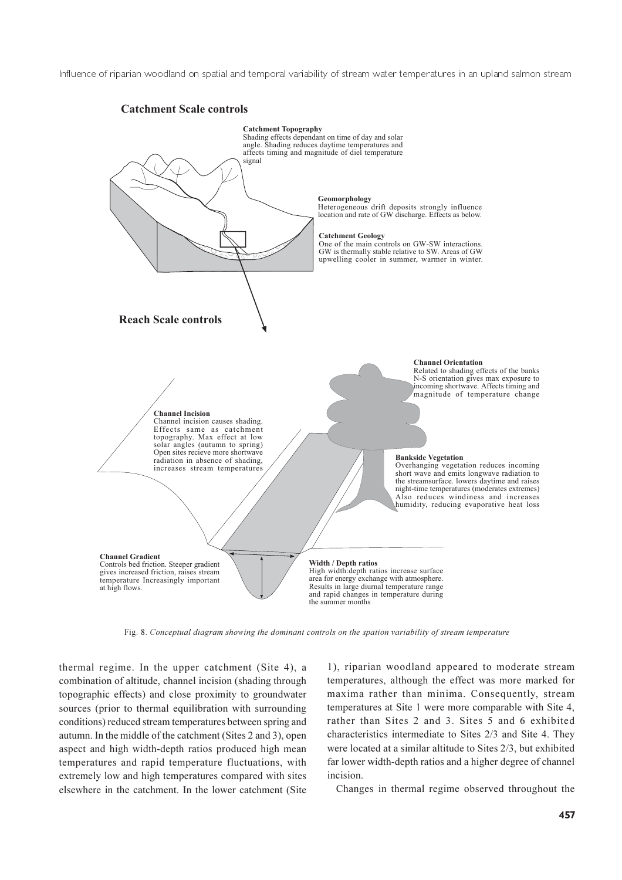

Fig. 8. Conceptual diagram showing the dominant controls on the spation variability of stream temperature

thermal regime. In the upper catchment (Site 4), a combination of altitude, channel incision (shading through topographic effects) and close proximity to groundwater sources (prior to thermal equilibration with surrounding conditions) reduced stream temperatures between spring and autumn. In the middle of the catchment (Sites 2 and 3), open aspect and high width-depth ratios produced high mean temperatures and rapid temperature fluctuations, with extremely low and high temperatures compared with sites elsewhere in the catchment. In the lower catchment (Site

1), riparian woodland appeared to moderate stream temperatures, although the effect was more marked for maxima rather than minima. Consequently, stream temperatures at Site 1 were more comparable with Site 4, rather than Sites 2 and 3. Sites 5 and 6 exhibited characteristics intermediate to Sites 2/3 and Site 4. They were located at a similar altitude to Sites 2/3, but exhibited far lower width-depth ratios and a higher degree of channel incision.

Changes in thermal regime observed throughout the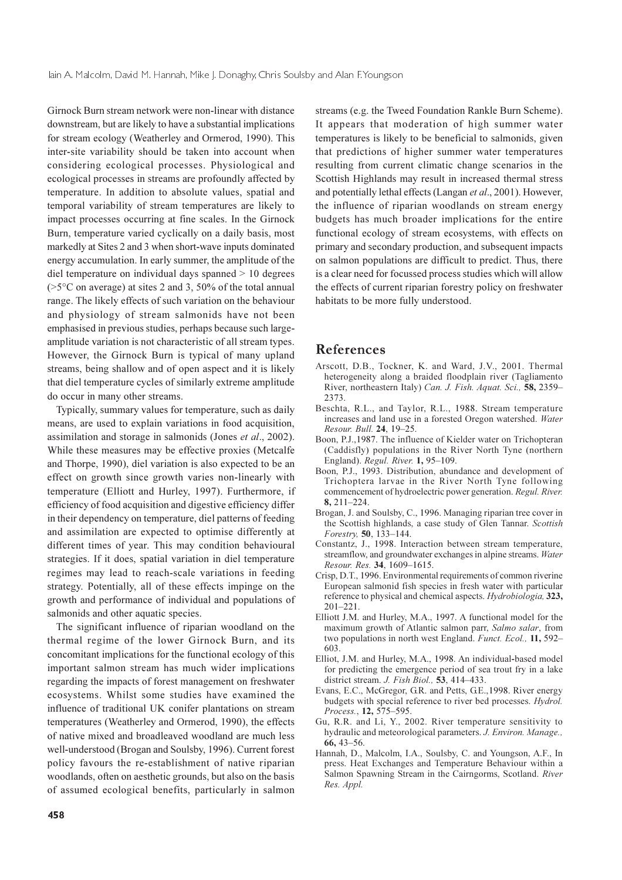Girnock Burn stream network were non-linear with distance downstream, but are likely to have a substantial implications for stream ecology (Weatherley and Ormerod, 1990). This inter-site variability should be taken into account when considering ecological processes. Physiological and ecological processes in streams are profoundly affected by temperature. In addition to absolute values, spatial and temporal variability of stream temperatures are likely to impact processes occurring at fine scales. In the Girnock Burn, temperature varied cyclically on a daily basis, most markedly at Sites 2 and 3 when short-wave inputs dominated energy accumulation. In early summer, the amplitude of the diel temperature on individual days spanned  $> 10$  degrees  $(5^{\circ}$ C on average) at sites 2 and 3, 50% of the total annual range. The likely effects of such variation on the behaviour and physiology of stream salmonids have not been emphasised in previous studies, perhaps because such largeamplitude variation is not characteristic of all stream types. However, the Girnock Burn is typical of many upland streams, being shallow and of open aspect and it is likely that diel temperature cycles of similarly extreme amplitude do occur in many other streams.

Typically, summary values for temperature, such as daily means, are used to explain variations in food acquisition, assimilation and storage in salmonids (Jones et al., 2002). While these measures may be effective proxies (Metcalfe and Thorpe, 1990), diel variation is also expected to be an effect on growth since growth varies non-linearly with temperature (Elliott and Hurley, 1997). Furthermore, if efficiency of food acquisition and digestive efficiency differ in their dependency on temperature, diel patterns of feeding and assimilation are expected to optimise differently at different times of year. This may condition behavioural strategies. If it does, spatial variation in diel temperature regimes may lead to reach-scale variations in feeding strategy. Potentially, all of these effects impinge on the growth and performance of individual and populations of salmonids and other aquatic species.

The significant influence of riparian woodland on the thermal regime of the lower Girnock Burn, and its concomitant implications for the functional ecology of this important salmon stream has much wider implications regarding the impacts of forest management on freshwater ecosystems. Whilst some studies have examined the influence of traditional UK conifer plantations on stream temperatures (Weatherley and Ormerod, 1990), the effects of native mixed and broadleaved woodland are much less well-understood (Brogan and Soulsby, 1996). Current forest policy favours the re-establishment of native riparian woodlands, often on aesthetic grounds, but also on the basis of assumed ecological benefits, particularly in salmon

streams (e.g. the Tweed Foundation Rankle Burn Scheme). It appears that moderation of high summer water temperatures is likely to be beneficial to salmonids, given that predictions of higher summer water temperatures resulting from current climatic change scenarios in the Scottish Highlands may result in increased thermal stress and potentially lethal effects (Langan et al., 2001). However, the influence of riparian woodlands on stream energy budgets has much broader implications for the entire functional ecology of stream ecosystems, with effects on primary and secondary production, and subsequent impacts on salmon populations are difficult to predict. Thus, there is a clear need for focussed process studies which will allow the effects of current riparian forestry policy on freshwater habitats to be more fully understood.

## References

- Arscott, D.B., Tockner, K. and Ward, J.V., 2001. Thermal heterogeneity along a braided floodplain river (Tagliamento River, northeastern Italy) Can. J. Fish. Aquat. Sci., 58, 2359-2373.
- Beschta, R.L., and Taylor, R.L., 1988. Stream temperature increases and land use in a forested Oregon watershed. Water Resour. Bull. 24, 19-25.
- Boon, P.J., 1987. The influence of Kielder water on Trichopteran (Caddisfly) populations in the River North Tyne (northern England). Regul. River. 1, 95-109.
- Boon, P.J., 1993. Distribution, abundance and development of Trichoptera larvae in the River North Tyne following commencement of hydroelectric power generation. Regul. River.  $8.211 - 224$
- Brogan, J. and Soulsby, C., 1996. Managing riparian tree cover in the Scottish highlands, a case study of Glen Tannar. Scottish Forestry, 50, 133-144.
- Constantz, J., 1998. Interaction between stream temperature, streamflow, and groundwater exchanges in alpine streams. Water Resour. Res. 34, 1609-1615.
- Crisp, D.T., 1996. Environmental requirements of common riverine European salmonid fish species in fresh water with particular reference to physical and chemical aspects. Hydrobiologia, 323,  $201 - 221$
- Elliott J.M. and Hurley, M.A., 1997. A functional model for the maximum growth of Atlantic salmon parr, Salmo salar, from two populations in north west England. Funct. Ecol., 11, 592– 603
- Elliot, J.M. and Hurley, M.A., 1998. An individual-based model for predicting the emergence period of sea trout fry in a lake district stream. J. Fish Biol., 53, 414-433.
- Evans, E.C., McGregor, G.R. and Petts, G.E., 1998. River energy budgets with special reference to river bed processes. *Hydrol*. Process., 12, 575–595.
- Gu, R.R. and Li, Y., 2002. River temperature sensitivity to hydraulic and meteorological parameters. J. Environ. Manage.,  $66, 43 - 56$
- Hannah, D., Malcolm, I.A., Soulsby, C. and Youngson, A.F., In press. Heat Exchanges and Temperature Behaviour within a Salmon Spawning Stream in the Cairngorms, Scotland. River Res. Appl.